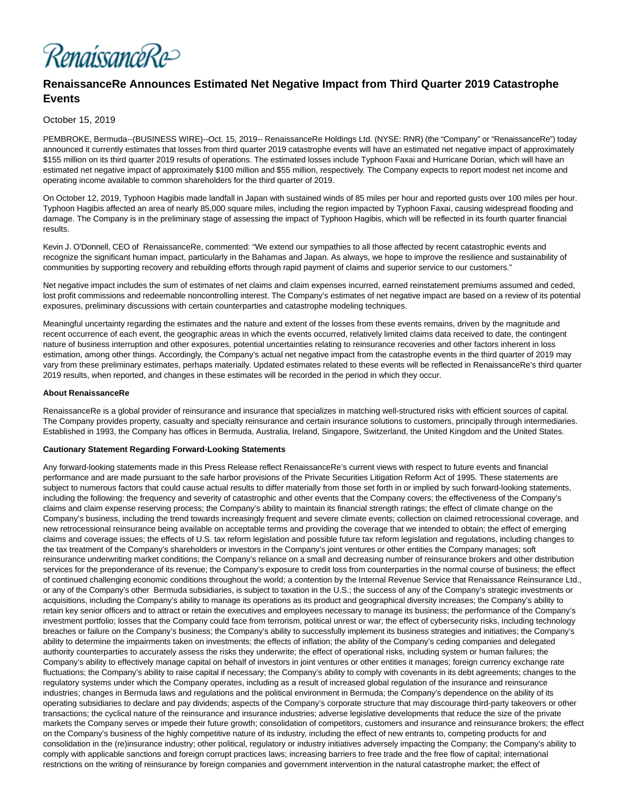

# **RenaissanceRe Announces Estimated Net Negative Impact from Third Quarter 2019 Catastrophe Events**

## October 15, 2019

PEMBROKE, Bermuda--(BUSINESS WIRE)--Oct. 15, 2019-- RenaissanceRe Holdings Ltd. (NYSE: RNR) (the "Company" or "RenaissanceRe") today announced it currently estimates that losses from third quarter 2019 catastrophe events will have an estimated net negative impact of approximately \$155 million on its third quarter 2019 results of operations. The estimated losses include Typhoon Faxai and Hurricane Dorian, which will have an estimated net negative impact of approximately \$100 million and \$55 million, respectively. The Company expects to report modest net income and operating income available to common shareholders for the third quarter of 2019.

On October 12, 2019, Typhoon Hagibis made landfall in Japan with sustained winds of 85 miles per hour and reported gusts over 100 miles per hour. Typhoon Hagibis affected an area of nearly 85,000 square miles, including the region impacted by Typhoon Faxai, causing widespread flooding and damage. The Company is in the preliminary stage of assessing the impact of Typhoon Hagibis, which will be reflected in its fourth quarter financial results.

Kevin J. O'Donnell, CEO of RenaissanceRe, commented: "We extend our sympathies to all those affected by recent catastrophic events and recognize the significant human impact, particularly in the Bahamas and Japan. As always, we hope to improve the resilience and sustainability of communities by supporting recovery and rebuilding efforts through rapid payment of claims and superior service to our customers."

Net negative impact includes the sum of estimates of net claims and claim expenses incurred, earned reinstatement premiums assumed and ceded, lost profit commissions and redeemable noncontrolling interest. The Company's estimates of net negative impact are based on a review of its potential exposures, preliminary discussions with certain counterparties and catastrophe modeling techniques.

Meaningful uncertainty regarding the estimates and the nature and extent of the losses from these events remains, driven by the magnitude and recent occurrence of each event, the geographic areas in which the events occurred, relatively limited claims data received to date, the contingent nature of business interruption and other exposures, potential uncertainties relating to reinsurance recoveries and other factors inherent in loss estimation, among other things. Accordingly, the Company's actual net negative impact from the catastrophe events in the third quarter of 2019 may vary from these preliminary estimates, perhaps materially. Updated estimates related to these events will be reflected in RenaissanceRe's third quarter 2019 results, when reported, and changes in these estimates will be recorded in the period in which they occur.

#### **About RenaissanceRe**

RenaissanceRe is a global provider of reinsurance and insurance that specializes in matching well-structured risks with efficient sources of capital. The Company provides property, casualty and specialty reinsurance and certain insurance solutions to customers, principally through intermediaries. Established in 1993, the Company has offices in Bermuda, Australia, Ireland, Singapore, Switzerland, the United Kingdom and the United States.

#### **Cautionary Statement Regarding Forward-Looking Statements**

Any forward-looking statements made in this Press Release reflect RenaissanceRe's current views with respect to future events and financial performance and are made pursuant to the safe harbor provisions of the Private Securities Litigation Reform Act of 1995. These statements are subject to numerous factors that could cause actual results to differ materially from those set forth in or implied by such forward-looking statements, including the following: the frequency and severity of catastrophic and other events that the Company covers; the effectiveness of the Company's claims and claim expense reserving process; the Company's ability to maintain its financial strength ratings; the effect of climate change on the Company's business, including the trend towards increasingly frequent and severe climate events; collection on claimed retrocessional coverage, and new retrocessional reinsurance being available on acceptable terms and providing the coverage that we intended to obtain; the effect of emerging claims and coverage issues; the effects of U.S. tax reform legislation and possible future tax reform legislation and regulations, including changes to the tax treatment of the Company's shareholders or investors in the Company's joint ventures or other entities the Company manages; soft reinsurance underwriting market conditions; the Company's reliance on a small and decreasing number of reinsurance brokers and other distribution services for the preponderance of its revenue; the Company's exposure to credit loss from counterparties in the normal course of business; the effect of continued challenging economic conditions throughout the world; a contention by the Internal Revenue Service that Renaissance Reinsurance Ltd., or any of the Company's other Bermuda subsidiaries, is subject to taxation in the U.S.; the success of any of the Company's strategic investments or acquisitions, including the Company's ability to manage its operations as its product and geographical diversity increases; the Company's ability to retain key senior officers and to attract or retain the executives and employees necessary to manage its business; the performance of the Company's investment portfolio; losses that the Company could face from terrorism, political unrest or war; the effect of cybersecurity risks, including technology breaches or failure on the Company's business; the Company's ability to successfully implement its business strategies and initiatives; the Company's ability to determine the impairments taken on investments; the effects of inflation; the ability of the Company's ceding companies and delegated authority counterparties to accurately assess the risks they underwrite; the effect of operational risks, including system or human failures; the Company's ability to effectively manage capital on behalf of investors in joint ventures or other entities it manages; foreign currency exchange rate fluctuations; the Company's ability to raise capital if necessary; the Company's ability to comply with covenants in its debt agreements; changes to the regulatory systems under which the Company operates, including as a result of increased global regulation of the insurance and reinsurance industries; changes in Bermuda laws and regulations and the political environment in Bermuda; the Company's dependence on the ability of its operating subsidiaries to declare and pay dividends; aspects of the Company's corporate structure that may discourage third-party takeovers or other transactions; the cyclical nature of the reinsurance and insurance industries; adverse legislative developments that reduce the size of the private markets the Company serves or impede their future growth; consolidation of competitors, customers and insurance and reinsurance brokers; the effect on the Company's business of the highly competitive nature of its industry, including the effect of new entrants to, competing products for and consolidation in the (re)insurance industry; other political, regulatory or industry initiatives adversely impacting the Company; the Company's ability to comply with applicable sanctions and foreign corrupt practices laws; increasing barriers to free trade and the free flow of capital; international restrictions on the writing of reinsurance by foreign companies and government intervention in the natural catastrophe market; the effect of